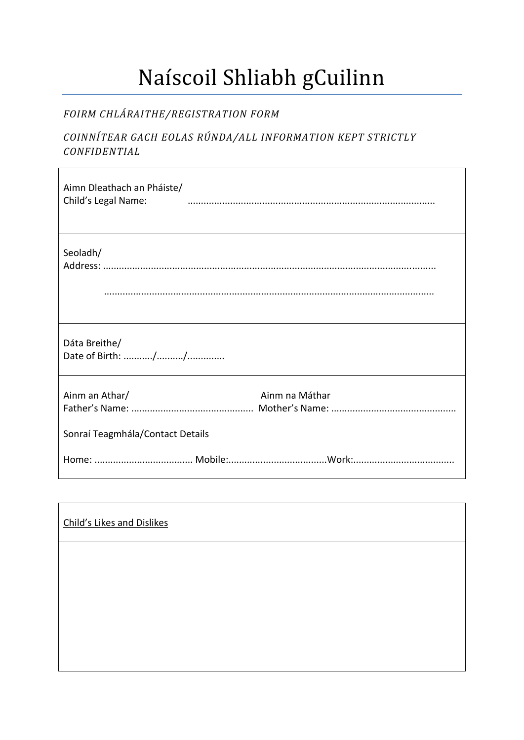## Naíscoil Shliabh gCuilinn

## FOIRM CHLÁRAITHE/REGISTRATION FORM

## COINNÍTEAR GACH EOLAS RÚNDA/ALL INFORMATION KEPT STRICTLY CONFIDENTIAL

| Aimn Dleathach an Pháiste/<br>Child's Legal Name:                    |
|----------------------------------------------------------------------|
| Seoladh/                                                             |
| Dáta Breithe/                                                        |
| Ainm an Athar/<br>Ainm na Máthar<br>Sonraí Teagmhála/Contact Details |
|                                                                      |

| Child's Likes and Dislikes |  |  |
|----------------------------|--|--|
|                            |  |  |
|                            |  |  |
|                            |  |  |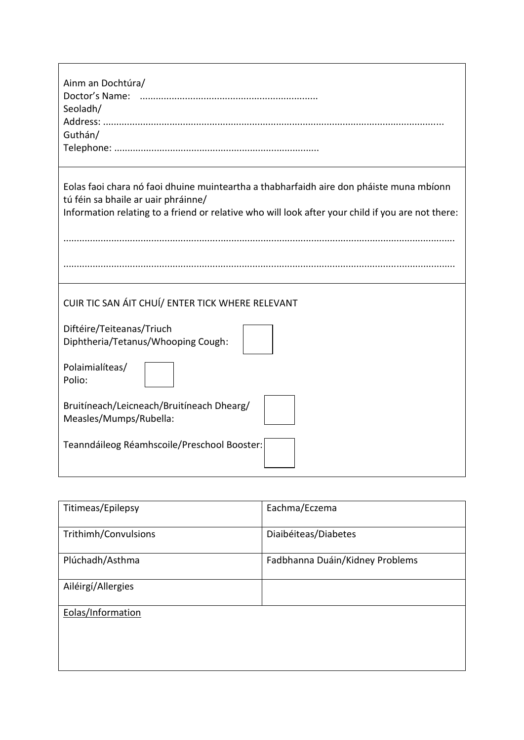| Ainm an Dochtúra/<br>Doctor's Name:<br>Seoladh/<br>Guthán/                                                                                                                                                                          |  |  |  |  |
|-------------------------------------------------------------------------------------------------------------------------------------------------------------------------------------------------------------------------------------|--|--|--|--|
| Eolas faoi chara nó faoi dhuine muinteartha a thabharfaidh aire don pháiste muna mbíonn<br>tú féin sa bhaile ar uair phráinne/<br>Information relating to a friend or relative who will look after your child if you are not there: |  |  |  |  |
|                                                                                                                                                                                                                                     |  |  |  |  |
| CUIR TIC SAN ÁIT CHUÍ/ ENTER TICK WHERE RELEVANT                                                                                                                                                                                    |  |  |  |  |
| Diftéire/Teiteanas/Triuch<br>Diphtheria/Tetanus/Whooping Cough:                                                                                                                                                                     |  |  |  |  |
| Polaimialíteas/<br>Polio:                                                                                                                                                                                                           |  |  |  |  |
| Bruitíneach/Leicneach/Bruitíneach Dhearg/<br>Measles/Mumps/Rubella:                                                                                                                                                                 |  |  |  |  |
| Teanndáileog Réamhscoile/Preschool Booster:                                                                                                                                                                                         |  |  |  |  |

٦

 $\mathsf{r}$ 

| Titimeas/Epilepsy    | Eachma/Eczema                   |
|----------------------|---------------------------------|
| Trithimh/Convulsions | Diaibéiteas/Diabetes            |
| Plúchadh/Asthma      | Fadbhanna Duáin/Kidney Problems |
| Ailéirgí/Allergies   |                                 |
| Eolas/Information    |                                 |
|                      |                                 |
|                      |                                 |